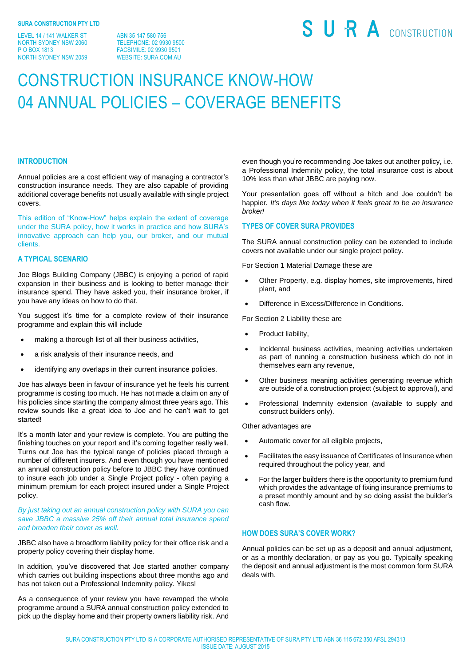LEVEL 14 / 141 WALKER ST NORTH SYDNEY NSW 2060 P O BOX 1813 NORTH SYDNEY NSW 2059

ABN 35 147 580 756 TELEPHONE: 02 9930 9500 FACSIMILE: 02 9930 9501 WEBSITE: SURA.COM.AU

# SURA CONSTRUCTION

## CONSTRUCTION INSURANCE KNOW-HOW 04 ANNUAL POLICIES – COVERAGE BENEFITS

#### **INTRODUCTION**

Annual policies are a cost efficient way of managing a contractor's construction insurance needs. They are also capable of providing additional coverage benefits not usually available with single project covers.

This edition of "Know-How" helps explain the extent of coverage under the SURA policy, how it works in practice and how SURA's innovative approach can help you, our broker, and our mutual clients.

#### **A TYPICAL SCENARIO**

Joe Blogs Building Company (JBBC) is enjoying a period of rapid expansion in their business and is looking to better manage their insurance spend. They have asked you, their insurance broker, if you have any ideas on how to do that.

You suggest it's time for a complete review of their insurance programme and explain this will include

- making a thorough list of all their business activities,
- a risk analysis of their insurance needs, and
- identifying any overlaps in their current insurance policies.

Joe has always been in favour of insurance yet he feels his current programme is costing too much. He has not made a claim on any of his policies since starting the company almost three years ago. This review sounds like a great idea to Joe and he can't wait to get started!

It's a month later and your review is complete. You are putting the finishing touches on your report and it's coming together really well. Turns out Joe has the typical range of policies placed through a number of different insurers. And even though you have mentioned an annual construction policy before to JBBC they have continued to insure each job under a Single Project policy - often paying a minimum premium for each project insured under a Single Project policy.

#### *By just taking out an annual construction policy with SURA you can save JBBC a massive 25% off their annual total insurance spend and broaden their cover as well.*

JBBC also have a broadform liability policy for their office risk and a property policy covering their display home.

In addition, you've discovered that Joe started another company which carries out building inspections about three months ago and has not taken out a Professional Indemnity policy. Yikes!

As a consequence of your review you have revamped the whole programme around a SURA annual construction policy extended to pick up the display home and their property owners liability risk. And even though you're recommending Joe takes out another policy, i.e. a Professional Indemnity policy, the total insurance cost is about 10% less than what JBBC are paying now.

Your presentation goes off without a hitch and Joe couldn't be happier*. It's days like today when it feels great to be an insurance broker!*

#### **TYPES OF COVER SURA PROVIDES**

The SURA annual construction policy can be extended to include covers not available under our single project policy.

For Section 1 Material Damage these are

- Other Property, e.g. display homes, site improvements, hired plant, and
- Difference in Excess/Difference in Conditions.

For Section 2 Liability these are

- Product liability,
- Incidental business activities, meaning activities undertaken as part of running a construction business which do not in themselves earn any revenue,
- Other business meaning activities generating revenue which are outside of a construction project (subject to approval), and
- Professional Indemnity extension (available to supply and construct builders only).

Other advantages are

- Automatic cover for all eligible projects,
- Facilitates the easy issuance of Certificates of Insurance when required throughout the policy year, and
- For the larger builders there is the opportunity to premium fund which provides the advantage of fixing insurance premiums to a preset monthly amount and by so doing assist the builder's cash flow.

### **HOW DOES SURA'S COVER WORK?**

Annual policies can be set up as a deposit and annual adjustment, or as a monthly declaration, or pay as you go. Typically speaking the deposit and annual adjustment is the most common form SURA deals with.